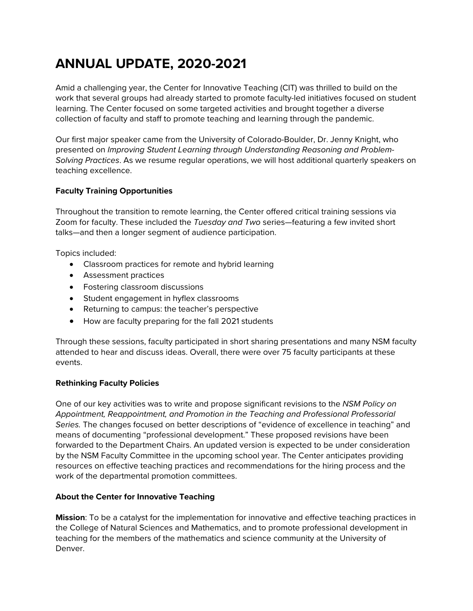# **ANNUAL UPDATE, 2020-2021**

Amid a challenging year, the Center for Innovative Teaching (CIT) was thrilled to build on the work that several groups had already started to promote faculty-led initiatives focused on student learning. The Center focused on some targeted activities and brought together a diverse collection of faculty and staff to promote teaching and learning through the pandemic.

Our first major speaker came from the University of Colorado-Boulder, Dr. Jenny Knight, who presented on *Improving Student Learning through Understanding Reasoning and Problem-Solving Practices*. As we resume regular operations, we will host additional quarterly speakers on teaching excellence.

# **Faculty Training Opportunities**

Throughout the transition to remote learning, the Center offered critical training sessions via Zoom for faculty. These included the *Tuesday and Two* series—featuring a few invited short talks—and then a longer segment of audience participation.

Topics included:

- Classroom practices for remote and hybrid learning
- Assessment practices
- Fostering classroom discussions
- Student engagement in hyflex classrooms
- Returning to campus: the teacher's perspective
- How are faculty preparing for the fall 2021 students

Through these sessions, faculty participated in short sharing presentations and many NSM faculty attended to hear and discuss ideas. Overall, there were over 75 faculty participants at these events.

#### **Rethinking Faculty Policies**

One of our key activities was to write and propose significant revisions to the *NSM Policy on Appointment, Reappointment, and Promotion in the Teaching and Professional Professorial Series.* The changes focused on better descriptions of "evidence of excellence in teaching" and means of documenting "professional development." These proposed revisions have been forwarded to the Department Chairs. An updated version is expected to be under consideration by the NSM Faculty Committee in the upcoming school year. The Center anticipates providing resources on effective teaching practices and recommendations for the hiring process and the work of the departmental promotion committees.

## **About the Center for Innovative Teaching**

**Mission**: To be a catalyst for the implementation for innovative and effective teaching practices in the College of Natural Sciences and Mathematics, and to promote professional development in teaching for the members of the mathematics and science community at the University of Denver.